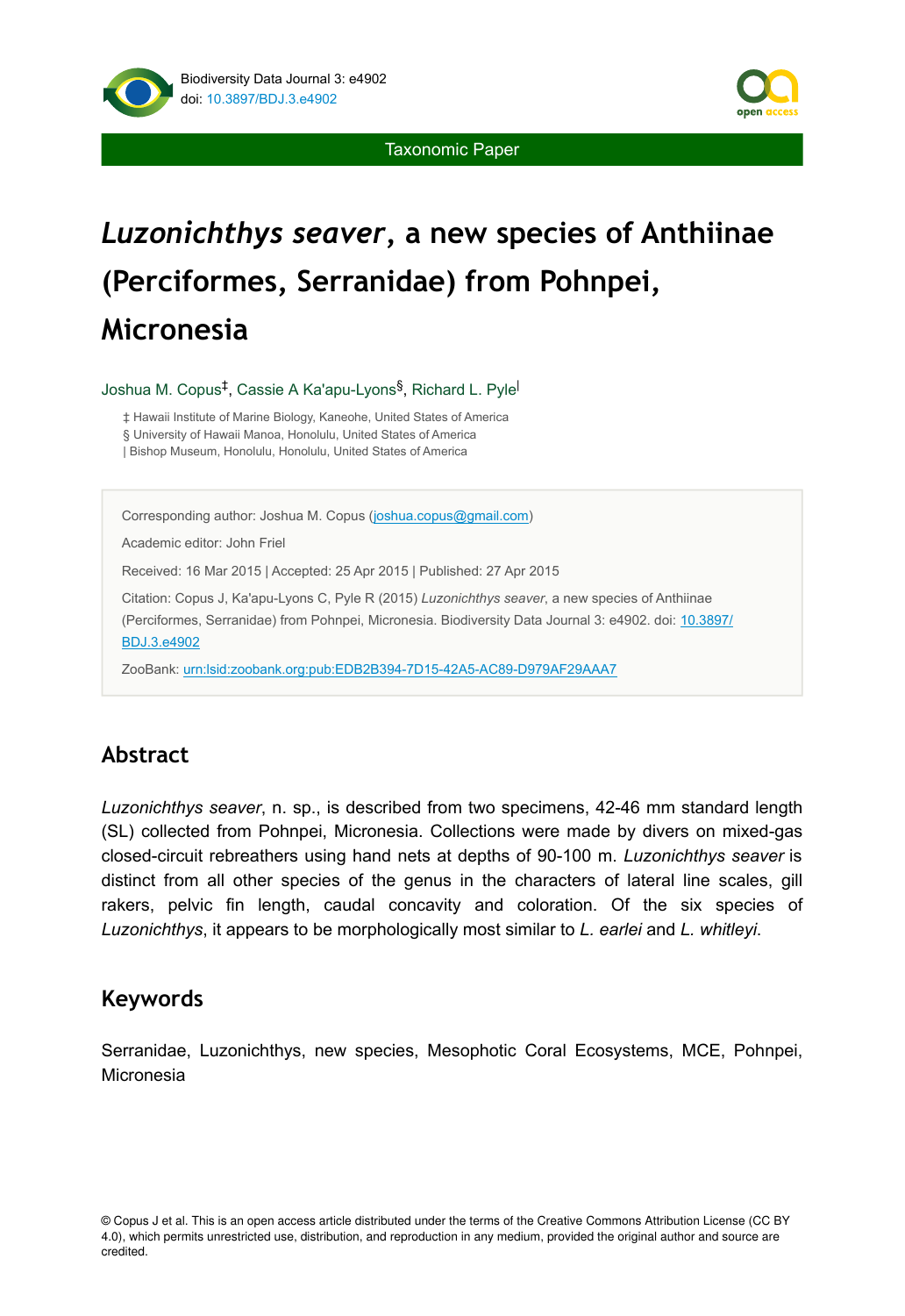

Taxonomic Paper

# *Luzonichthys seaver***, a new species of Anthiinae (Perciformes, Serranidae) from Pohnpei, Micronesia**

Joshua M. Copus<sup>‡</sup>, Cassie A Ka'apu-Lyons<sup>§</sup>, Richard L. Pyle<sup>l</sup>

‡ Hawaii Institute of Marine Biology, Kaneohe, United States of America

§ University of Hawaii Manoa, Honolulu, United States of America

| Bishop Museum, Honolulu, Honolulu, United States of America

Corresponding author: Joshua M. Copus [\(joshua.copus@gmail.com](mailto:joshua.copus@gmail.com?subject=Your%20manuscript%20in%20PWT%20#3876/BDJ%20#4902))

Academic editor: John Friel

Received: 16 Mar 2015 | Accepted: 25 Apr 2015 | Published: 27 Apr 2015

Citation: Copus J, Ka'apu-Lyons C, Pyle R (2015) *Luzonichthys seaver*, a new species of Anthiinae (Perciformes, Serranidae) from Pohnpei, Micronesia. Biodiversity Data Journal 3: e4902. doi: [10.3897/](http://dx.doi.org/10.3897/BDJ.3.e4902) [BDJ.3.e4902](http://dx.doi.org/10.3897/BDJ.3.e4902)

ZooBank: [urn:lsid:zoobank.org:pub:EDB2B394-7D15-42A5-AC89-D979AF29AAA7](http://zoobank.org/EDB2B394-7D15-42A5-AC89-D979AF29AAA7)

# **Abstract**

*Luzonichthys seaver*, n. sp., is described from two specimens, 42-46 mm standard length (SL) collected from Pohnpei, Micronesia. Collections were made by divers on mixed-gas closed-circuit rebreathers using hand nets at depths of 90-100 m. *Luzonichthys seaver* is distinct from all other species of the genus in the characters of lateral line scales, gill rakers, pelvic fin length, caudal concavity and coloration. Of the six species of *Luzonichthys*, it appears to be morphologically most similar to *L. earlei* and *L. whitleyi*.

## **Keywords**

Serranidae, Luzonichthys, new species, Mesophotic Coral Ecosystems, MCE, Pohnpei, Micronesia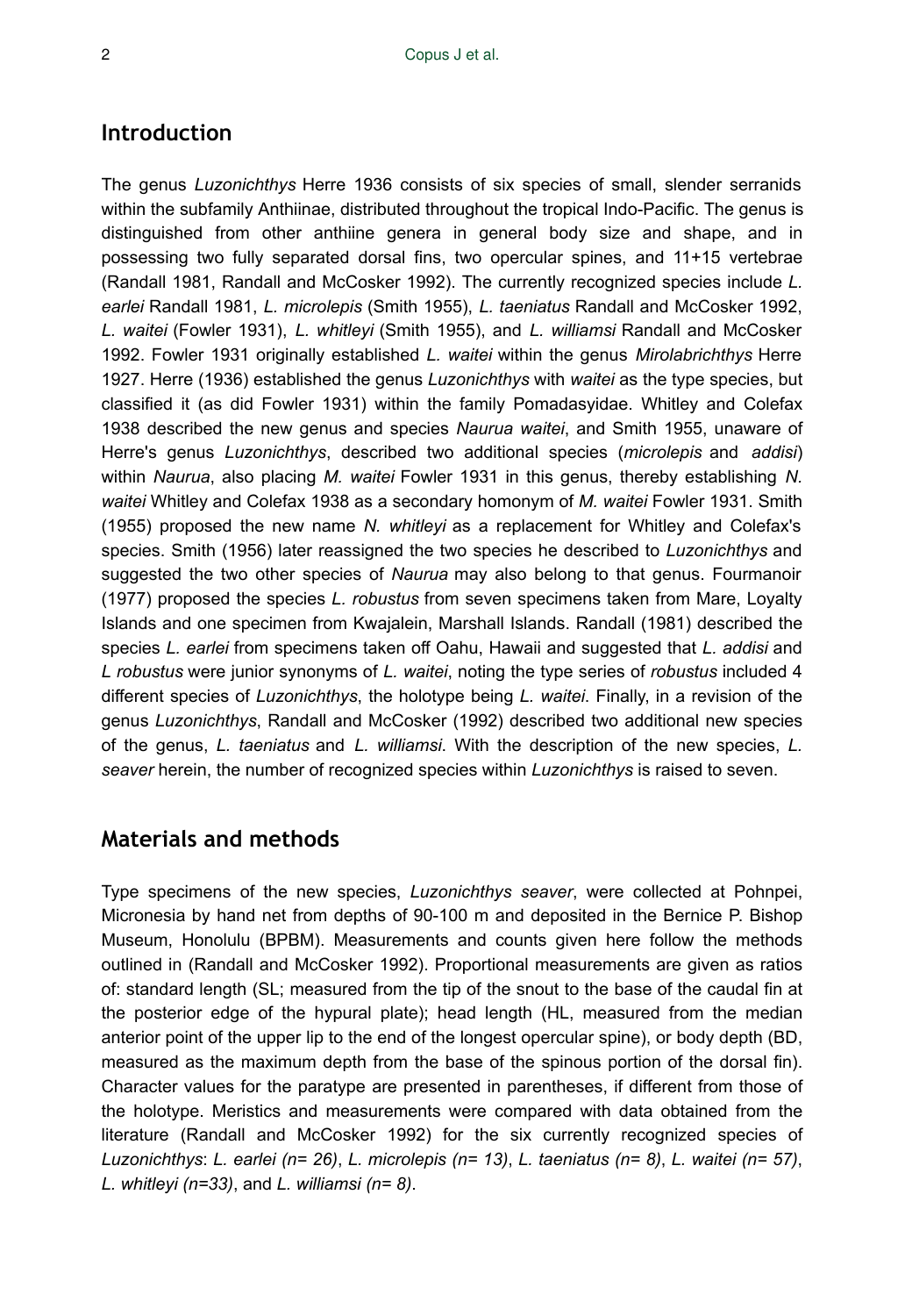# **Introduction**

The genus *Luzonichthys* Herre 1936 consists of six species of small, slender serranids within the subfamily Anthiinae, distributed throughout the tropical Indo-Pacific. The genus is distinguished from other anthiine genera in general body size and shape, and in possessing two fully separated dorsal fins, two opercular spines, and 11+15 vertebrae (Randall 1981, Randall and McCosker 1992). The currently recognized species include *L. earlei* Randall 1981, *L. microlepis* (Smith 1955), *L. taeniatus* Randall and McCosker 1992, *L. waitei* (Fowler 1931), *L. whitleyi* (Smith 1955), and *L. williamsi* Randall and McCosker 1992. Fowler 1931 originally established *L. waitei* within the genus *Mirolabrichthys* Herre 1927. Herre (1936) established the genus *Luzonichthys* with *waitei* as the type species, but classified it (as did Fowler 1931) within the family Pomadasyidae. Whitley and Colefax 1938 described the new genus and species *Naurua waitei*, and Smith 1955, unaware of Herre's genus *Luzonichthys*, described two additional species (*microlepis* and *addisi*) within *Naurua*, also placing *M. waitei* Fowler 1931 in this genus, thereby establishing *N. waitei* Whitley and Colefax 1938 as a secondary homonym of *M. waitei* Fowler 1931. Smith (1955) proposed the new name *N. whitleyi* as a replacement for Whitley and Colefax's species. Smith (1956) later reassigned the two species he described to *Luzonichthys* and suggested the two other species of *Naurua* may also belong to that genus. Fourmanoir (1977) proposed the species *L. robustus* from seven specimens taken from Mare, Loyalty Islands and one specimen from Kwajalein, Marshall Islands. Randall (1981) described the species *L. earlei* from specimens taken off Oahu, Hawaii and suggested that *L. addisi* and *L robustus* were junior synonyms of *L. waitei*, noting the type series of *robustus* included 4 different species of *Luzonichthys*, the holotype being *L. waitei*. Finally, in a revision of the genus *Luzonichthys*, Randall and McCosker (1992) described two additional new species of the genus, *L. taeniatus* and *L. williamsi*. With the description of the new species, *L. seaver* herein, the number of recognized species within *Luzonichthys* is raised to seven.

## **Materials and methods**

Type specimens of the new species, *Luzonichthys seaver*, were collected at Pohnpei, Micronesia by hand net from depths of 90-100 m and deposited in the Bernice P. Bishop Museum, Honolulu (BPBM). Measurements and counts given here follow the methods outlined in (Randall and McCosker 1992). Proportional measurements are given as ratios of: standard length (SL; measured from the tip of the snout to the base of the caudal fin at the posterior edge of the hypural plate); head length (HL, measured from the median anterior point of the upper lip to the end of the longest opercular spine), or body depth (BD, measured as the maximum depth from the base of the spinous portion of the dorsal fin). Character values for the paratype are presented in parentheses, if different from those of the holotype. Meristics and measurements were compared with data obtained from the literature (Randall and McCosker 1992) for the six currently recognized species of *Luzonichthys*: *L. earlei (n= 26)*, *L. microlepis (n= 13)*, *L. taeniatus (n= 8)*, *L. waitei (n= 57)*, *L. whitleyi (n=33)*, and *L. williamsi (n= 8)*.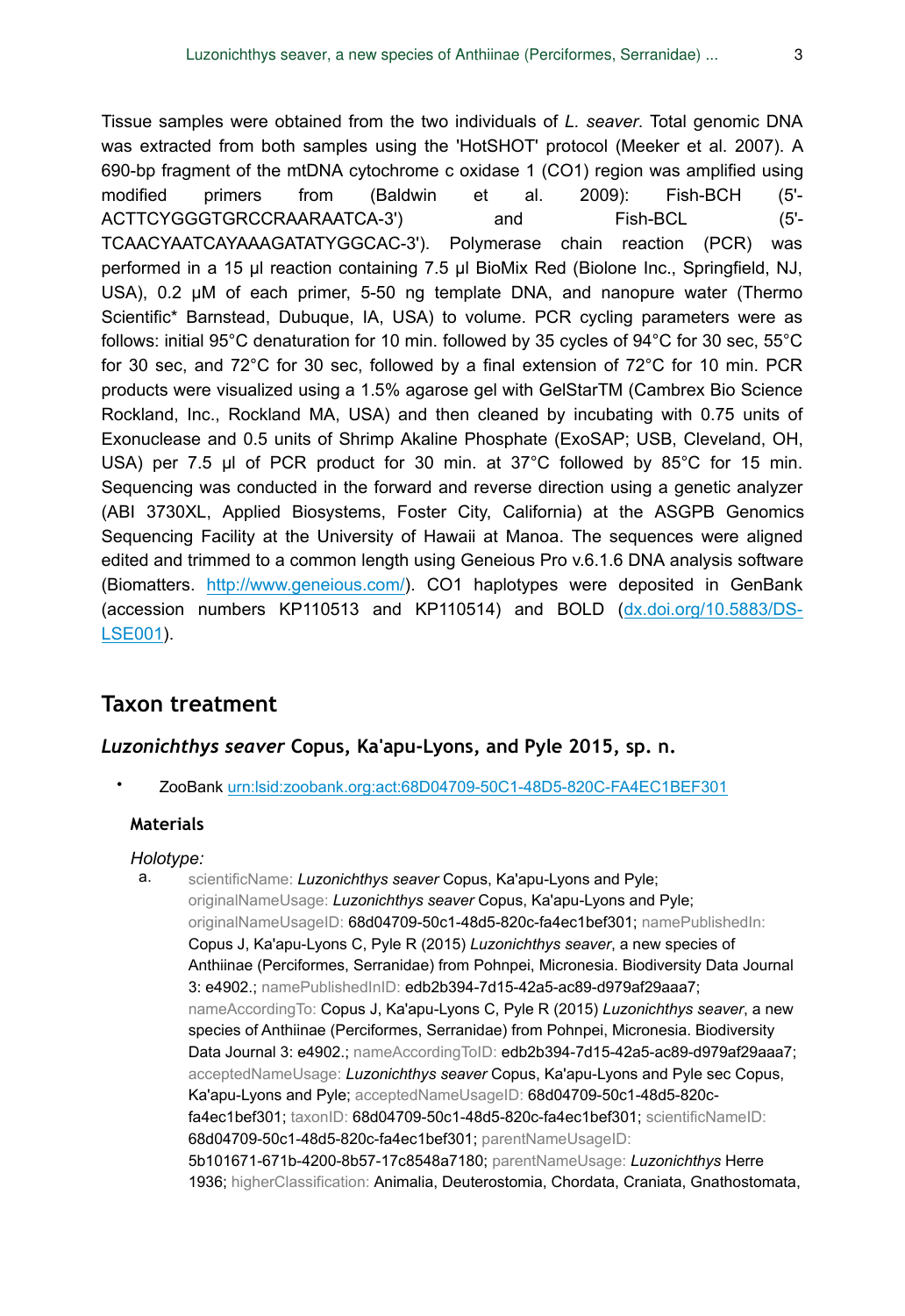Tissue samples were obtained from the two individuals of *L. seaver*. Total genomic DNA was extracted from both samples using the 'HotSHOT' protocol (Meeker et al. 2007). A 690-bp fragment of the mtDNA cytochrome c oxidase 1 (CO1) region was amplified using modified primers from (Baldwin et al. 2009): Fish-BCH (5'- ACTTCYGGGTGRCCRAARAATCA-3') and Fish-BCL (5'- TCAACYAATCAYAAAGATATYGGCAC-3'). Polymerase chain reaction (PCR) was performed in a 15 µl reaction containing 7.5 µl BioMix Red (Biolone Inc., Springfield, NJ, USA), 0.2 µM of each primer, 5-50 ng template DNA, and nanopure water (Thermo Scientific\* Barnstead, Dubuque, IA, USA) to volume. PCR cycling parameters were as follows: initial 95°C denaturation for 10 min. followed by 35 cycles of 94°C for 30 sec, 55°C for 30 sec, and 72°C for 30 sec, followed by a final extension of 72°C for 10 min. PCR products were visualized using a 1.5% agarose gel with GelStarTM (Cambrex Bio Science Rockland, Inc., Rockland MA, USA) and then cleaned by incubating with 0.75 units of Exonuclease and 0.5 units of Shrimp Akaline Phosphate (ExoSAP; USB, Cleveland, OH, USA) per 7.5 µl of PCR product for 30 min. at 37°C followed by 85°C for 15 min. Sequencing was conducted in the forward and reverse direction using a genetic analyzer (ABI 3730XL, Applied Biosystems, Foster City, California) at the ASGPB Genomics Sequencing Facility at the University of Hawaii at Manoa. The sequences were aligned edited and trimmed to a common length using Geneious Pro v.6.1.6 DNA analysis software (Biomatters. <http://www.geneious.com/>). CO1 haplotypes were deposited in GenBank (accession numbers KP110513 and KP110514) and BOLD ([dx.doi.org/10.5883/DS-](http://dx.doi.org/10.5883/DS-LSE001)[LSE001](http://dx.doi.org/10.5883/DS-LSE001)).

### **Taxon treatment**

### *Luzonichthys seaver* **Copus, Ka'apu-Lyons, and Pyle 2015, sp. n.**

• ZooBank [urn:lsid:zoobank.org:act:68D04709-50C1-48D5-820C-FA4EC1BEF301](http://zoobank.org/68D04709-50C1-48D5-820C-FA4EC1BEF301)

#### **Materials**

#### *Holotype:*

a. scientificName: *Luzonichthys seaver* Copus, Ka'apu-Lyons and Pyle; originalNameUsage: *Luzonichthys seaver* Copus, Ka'apu-Lyons and Pyle; originalNameUsageID: 68d04709-50c1-48d5-820c-fa4ec1bef301; namePublishedIn: Copus J, Ka'apu-Lyons C, Pyle R (2015) *Luzonichthys seaver*, a new species of Anthiinae (Perciformes, Serranidae) from Pohnpei, Micronesia. Biodiversity Data Journal 3: e4902.; namePublishedInID: edb2b394-7d15-42a5-ac89-d979af29aaa7; nameAccordingTo: Copus J, Ka'apu-Lyons C, Pyle R (2015) *Luzonichthys seaver*, a new species of Anthiinae (Perciformes, Serranidae) from Pohnpei, Micronesia. Biodiversity Data Journal 3: e4902.; nameAccordingToID: edb2b394-7d15-42a5-ac89-d979af29aaa7; acceptedNameUsage: *Luzonichthys seaver* Copus, Ka'apu-Lyons and Pyle sec Copus, Ka'apu-Lyons and Pyle; acceptedNameUsageID: 68d04709-50c1-48d5-820cfa4ec1bef301; taxonID: 68d04709-50c1-48d5-820c-fa4ec1bef301; scientificNameID: 68d04709-50c1-48d5-820c-fa4ec1bef301; parentNameUsageID: 5b101671-671b-4200-8b57-17c8548a7180; parentNameUsage: *Luzonichthys* Herre 1936; higherClassification: Animalia, Deuterostomia, Chordata, Craniata, Gnathostomata,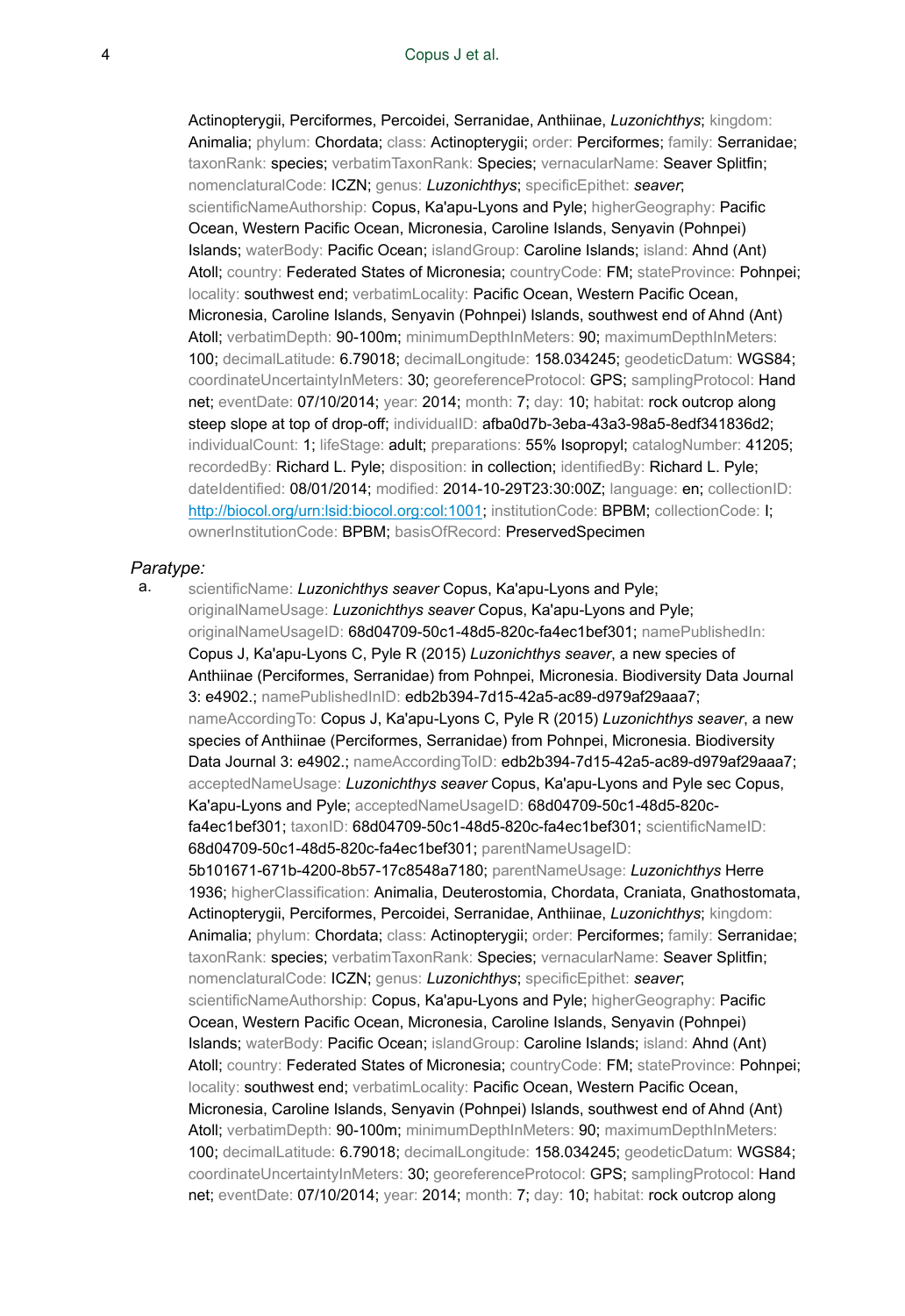Actinopterygii, Perciformes, Percoidei, Serranidae, Anthiinae, *Luzonichthys*; kingdom: Animalia; phylum: Chordata; class: Actinopterygii; order: Perciformes; family: Serranidae; taxonRank: species; verbatimTaxonRank: Species; vernacularName: Seaver Splitfin; nomenclaturalCode: ICZN; genus: *Luzonichthys*; specificEpithet: *seaver*; scientificNameAuthorship: Copus, Ka'apu-Lyons and Pyle; higherGeography: Pacific Ocean, Western Pacific Ocean, Micronesia, Caroline Islands, Senyavin (Pohnpei) Islands; waterBody: Pacific Ocean; islandGroup: Caroline Islands; island: Ahnd (Ant) Atoll; country: Federated States of Micronesia; countryCode: FM; stateProvince: Pohnpei; locality: southwest end; verbatimLocality: Pacific Ocean, Western Pacific Ocean, Micronesia, Caroline Islands, Senyavin (Pohnpei) Islands, southwest end of Ahnd (Ant) Atoll; verbatimDepth: 90-100m; minimumDepthInMeters: 90; maximumDepthInMeters: 100; decimalLatitude: 6.79018; decimalLongitude: 158.034245; geodeticDatum: WGS84; coordinateUncertaintyInMeters: 30; georeferenceProtocol: GPS; samplingProtocol: Hand net; eventDate: 07/10/2014; year: 2014; month: 7; day: 10; habitat: rock outcrop along steep slope at top of drop-off; individualID: afba0d7b-3eba-43a3-98a5-8edf341836d2; individualCount: 1; lifeStage: adult; preparations: 55% Isopropyl; catalogNumber: 41205; recordedBy: Richard L. Pyle; disposition: in collection; identifiedBy: Richard L. Pyle; dateIdentified: 08/01/2014; modified: 2014-10-29T23:30:00Z; language: en; collectionID: [http://biocol.org/urn:lsid:biocol.org:col:1001;](http://biocol.org/urn:lsid:biocol.org:col:1001) institutionCode: BPBM; collectionCode: I; ownerInstitutionCode: BPBM; basisOfRecord: PreservedSpecimen

#### *Paratype:*

a. scientificName: *Luzonichthys seaver* Copus, Ka'apu-Lyons and Pyle; originalNameUsage: *Luzonichthys seaver* Copus, Ka'apu-Lyons and Pyle; originalNameUsageID: 68d04709-50c1-48d5-820c-fa4ec1bef301; namePublishedIn: Copus J, Ka'apu-Lyons C, Pyle R (2015) *Luzonichthys seaver*, a new species of Anthiinae (Perciformes, Serranidae) from Pohnpei, Micronesia. Biodiversity Data Journal 3: e4902.; namePublishedInID: edb2b394-7d15-42a5-ac89-d979af29aaa7; nameAccordingTo: Copus J, Ka'apu-Lyons C, Pyle R (2015) *Luzonichthys seaver*, a new species of Anthiinae (Perciformes, Serranidae) from Pohnpei, Micronesia. Biodiversity Data Journal 3: e4902.; nameAccordingToID: edb2b394-7d15-42a5-ac89-d979af29aaa7; acceptedNameUsage: *Luzonichthys seaver* Copus, Ka'apu-Lyons and Pyle sec Copus, Ka'apu-Lyons and Pyle; acceptedNameUsageID: 68d04709-50c1-48d5-820cfa4ec1bef301; taxonID: 68d04709-50c1-48d5-820c-fa4ec1bef301; scientificNameID: 68d04709-50c1-48d5-820c-fa4ec1bef301; parentNameUsageID: 5b101671-671b-4200-8b57-17c8548a7180; parentNameUsage: *Luzonichthys* Herre 1936; higherClassification: Animalia, Deuterostomia, Chordata, Craniata, Gnathostomata, Actinopterygii, Perciformes, Percoidei, Serranidae, Anthiinae, *Luzonichthys*; kingdom: Animalia; phylum: Chordata; class: Actinopterygii; order: Perciformes; family: Serranidae; taxonRank: species; verbatimTaxonRank: Species; vernacularName: Seaver Splitfin; nomenclaturalCode: ICZN; genus: *Luzonichthys*; specificEpithet: *seaver*; scientificNameAuthorship: Copus, Ka'apu-Lyons and Pyle; higherGeography: Pacific Ocean, Western Pacific Ocean, Micronesia, Caroline Islands, Senyavin (Pohnpei) Islands; waterBody: Pacific Ocean; islandGroup: Caroline Islands; island: Ahnd (Ant) Atoll; country: Federated States of Micronesia; countryCode: FM; stateProvince: Pohnpei; locality: southwest end; verbatimLocality: Pacific Ocean, Western Pacific Ocean, Micronesia, Caroline Islands, Senyavin (Pohnpei) Islands, southwest end of Ahnd (Ant) Atoll; verbatimDepth: 90-100m; minimumDepthInMeters: 90; maximumDepthInMeters: 100; decimalLatitude: 6.79018; decimalLongitude: 158.034245; geodeticDatum: WGS84; coordinateUncertaintyInMeters: 30; georeferenceProtocol: GPS; samplingProtocol: Hand net; eventDate: 07/10/2014; year: 2014; month: 7; day: 10; habitat: rock outcrop along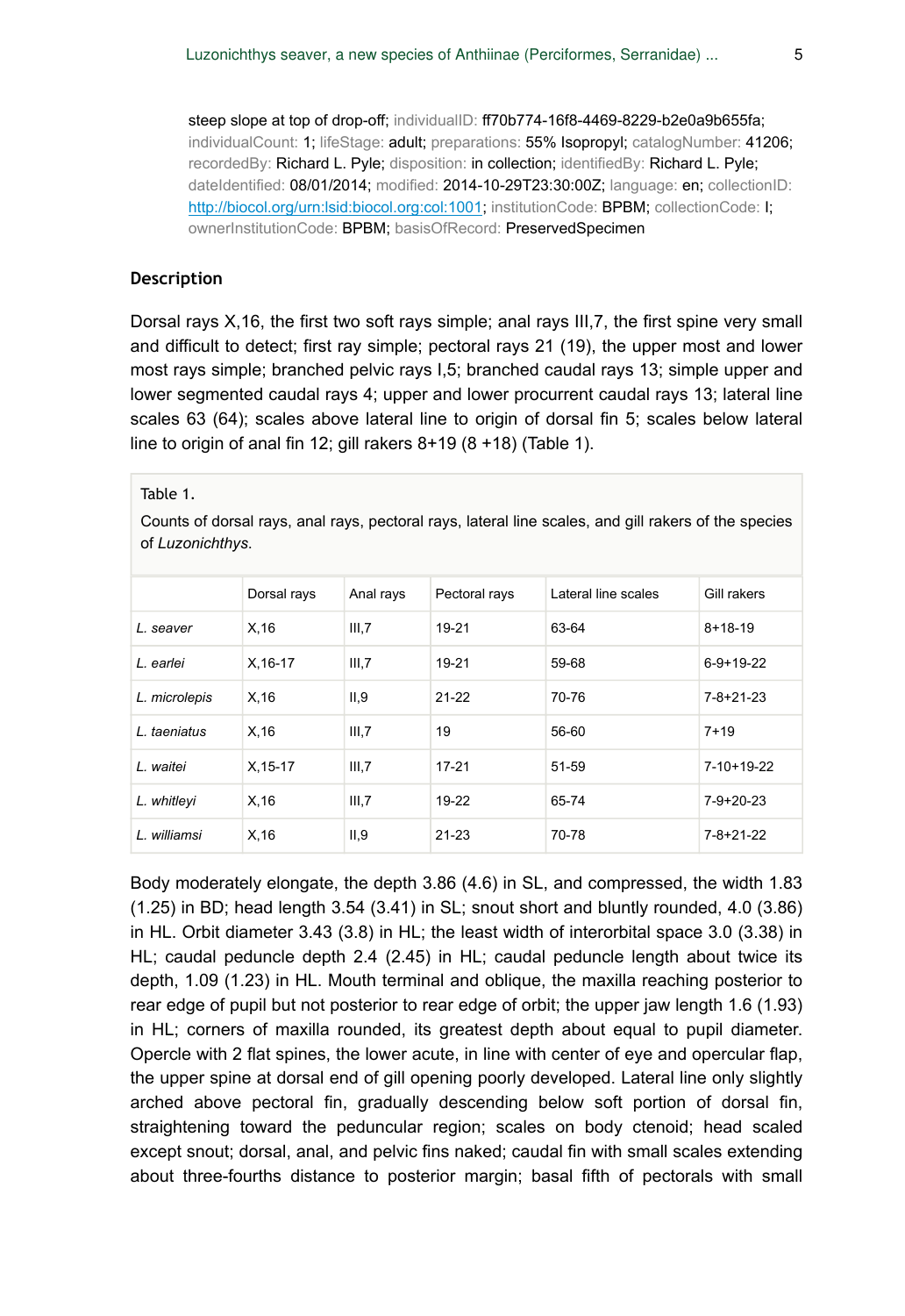steep slope at top of drop-off; individualID: ff70b774-16f8-4469-8229-b2e0a9b655fa; individualCount: 1; lifeStage: adult; preparations: 55% Isopropyl; catalogNumber: 41206; recordedBy: Richard L. Pyle; disposition: in collection; identifiedBy: Richard L. Pyle; dateIdentified: 08/01/2014; modified: 2014-10-29T23:30:00Z; language: en; collectionID: [http://biocol.org/urn:lsid:biocol.org:col:1001;](http://biocol.org/urn:lsid:biocol.org:col:1001) institutionCode: BPBM; collectionCode: I; ownerInstitutionCode: BPBM; basisOfRecord: PreservedSpecimen

#### **Description**

Dorsal rays X,16, the first two soft rays simple; anal rays III,7, the first spine very small and difficult to detect; first ray simple; pectoral rays 21 (19), the upper most and lower most rays simple; branched pelvic rays I,5; branched caudal rays 13; simple upper and lower segmented caudal rays 4; upper and lower procurrent caudal rays 13; lateral line scales 63 (64); scales above lateral line to origin of dorsal fin 5; scales below lateral line to origin of anal fin 12; gill rakers 8+19 (8 +18) (Table 1).

Table 1.

Counts of dorsal rays, anal rays, pectoral rays, lateral line scales, and gill rakers of the species of *Luzonichthys*.

|               | Dorsal rays | Anal rays | Pectoral rays | Lateral line scales | Gill rakers       |
|---------------|-------------|-----------|---------------|---------------------|-------------------|
| L. seaver     | X.16        | III,7     | 19-21         | 63-64               | $8+18-19$         |
| L. earlei     | $X.16-17$   | III,7     | 19-21         | 59-68               | $6-9+19-22$       |
| L. microlepis | X.16        | II, 9     | $21 - 22$     | 70-76               | $7 - 8 + 21 - 23$ |
| L. taeniatus  | X, 16       | III,7     | 19            | 56-60               | $7+19$            |
| L. waitei     | $X.15-17$   | III.7     | $17 - 21$     | 51-59               | $7-10+19-22$      |
| L. whitleyi   | X, 16       | III,7     | 19-22         | 65-74               | $7-9+20-23$       |
| L. williamsi  | X, 16       | II, 9     | $21 - 23$     | 70-78               | $7 - 8 + 21 - 22$ |

Body moderately elongate, the depth 3.86 (4.6) in SL, and compressed, the width 1.83 (1.25) in BD; head length 3.54 (3.41) in SL; snout short and bluntly rounded, 4.0 (3.86) in HL. Orbit diameter 3.43 (3.8) in HL; the least width of interorbital space 3.0 (3.38) in HL; caudal peduncle depth 2.4 (2.45) in HL; caudal peduncle length about twice its depth, 1.09 (1.23) in HL. Mouth terminal and oblique, the maxilla reaching posterior to rear edge of pupil but not posterior to rear edge of orbit; the upper jaw length 1.6 (1.93) in HL; corners of maxilla rounded, its greatest depth about equal to pupil diameter. Opercle with 2 flat spines, the lower acute, in line with center of eye and opercular flap, the upper spine at dorsal end of gill opening poorly developed. Lateral line only slightly arched above pectoral fin, gradually descending below soft portion of dorsal fin, straightening toward the peduncular region; scales on body ctenoid; head scaled except snout; dorsal, anal, and pelvic fins naked; caudal fin with small scales extending about three-fourths distance to posterior margin; basal fifth of pectorals with small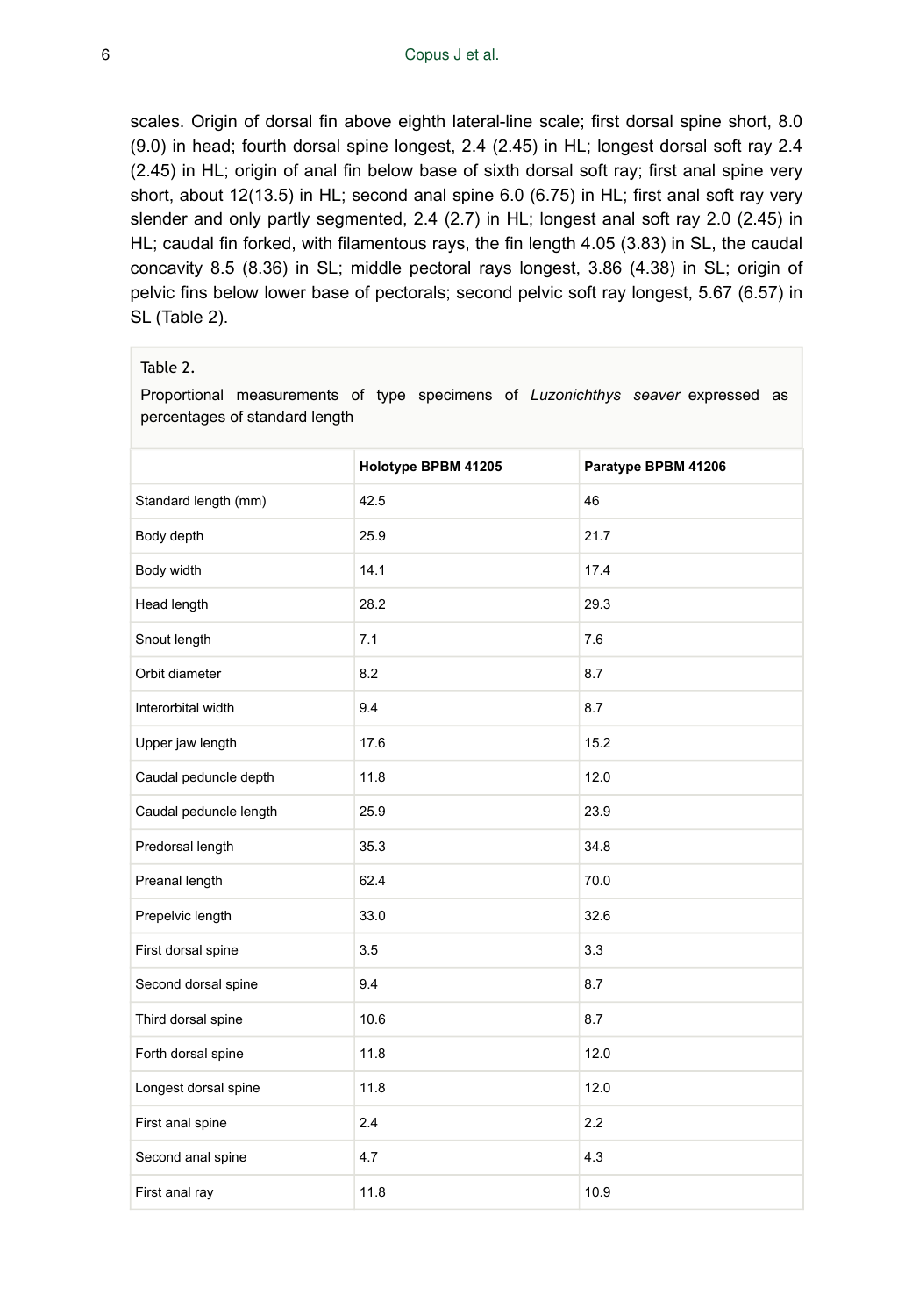scales. Origin of dorsal fin above eighth lateral-line scale; first dorsal spine short, 8.0 (9.0) in head; fourth dorsal spine longest, 2.4 (2.45) in HL; longest dorsal soft ray 2.4 (2.45) in HL; origin of anal fin below base of sixth dorsal soft ray; first anal spine very short, about 12(13.5) in HL; second anal spine 6.0 (6.75) in HL; first anal soft ray very slender and only partly segmented, 2.4 (2.7) in HL; longest anal soft ray 2.0 (2.45) in HL; caudal fin forked, with filamentous rays, the fin length 4.05 (3.83) in SL, the caudal concavity 8.5 (8.36) in SL; middle pectoral rays longest, 3.86 (4.38) in SL; origin of pelvic fins below lower base of pectorals; second pelvic soft ray longest, 5.67 (6.57) in SL (Table 2).

#### Table 2.

Proportional measurements of type specimens of *Luzonichthys seaver* expressed as percentages of standard length

|                        | Holotype BPBM 41205 | Paratype BPBM 41206 |  |  |
|------------------------|---------------------|---------------------|--|--|
| Standard length (mm)   | 42.5                | 46                  |  |  |
| Body depth             | 25.9                | 21.7                |  |  |
| Body width             | 14.1                | 17.4                |  |  |
| Head length            | 28.2                | 29.3                |  |  |
| Snout length           | 7.1                 | 7.6                 |  |  |
| Orbit diameter         | 8.2                 | 8.7                 |  |  |
| Interorbital width     | 9.4                 | 8.7                 |  |  |
| Upper jaw length       | 17.6                | 15.2                |  |  |
| Caudal peduncle depth  | 11.8                | 12.0                |  |  |
| Caudal peduncle length | 25.9                | 23.9                |  |  |
| Predorsal length       | 35.3                | 34.8                |  |  |
| Preanal length         | 62.4                | 70.0                |  |  |
| Prepelvic length       | 33.0                | 32.6                |  |  |
| First dorsal spine     | 3.5                 | 3.3                 |  |  |
| Second dorsal spine    | 9.4                 | 8.7                 |  |  |
| Third dorsal spine     | 10.6                | 8.7                 |  |  |
| Forth dorsal spine     | 11.8                | 12.0                |  |  |
| Longest dorsal spine   | 11.8                | 12.0                |  |  |
| First anal spine       | 2.4                 | 2.2                 |  |  |
| Second anal spine      | 4.7                 | 4.3                 |  |  |
| First anal ray         | 11.8                | 10.9                |  |  |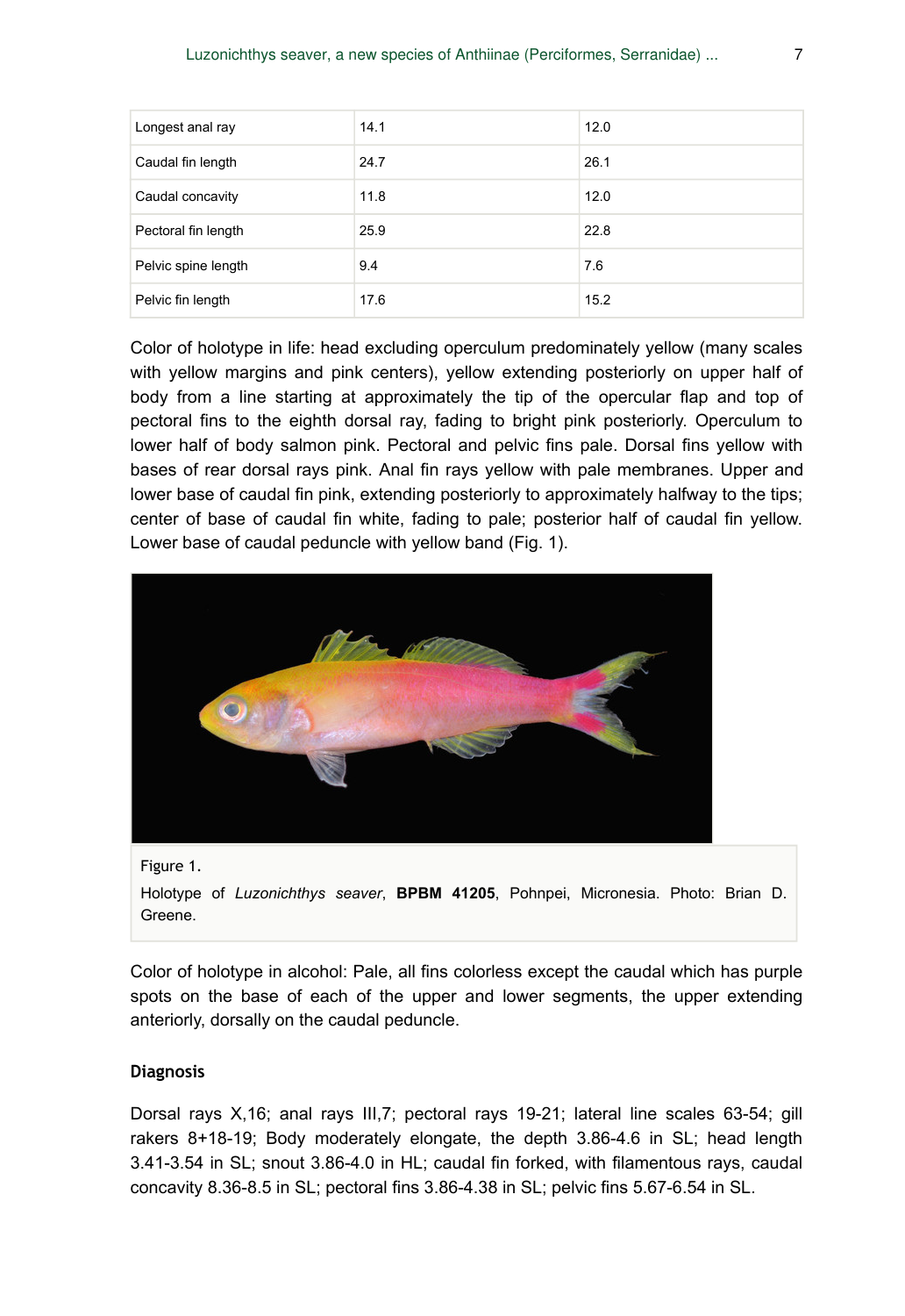| Longest anal ray    | 14.1 | 12.0 |
|---------------------|------|------|
| Caudal fin length   | 24.7 | 26.1 |
| Caudal concavity    | 11.8 | 12.0 |
| Pectoral fin length | 25.9 | 22.8 |
| Pelvic spine length | 9.4  | 7.6  |
| Pelvic fin length   | 17.6 | 15.2 |

Color of holotype in life: head excluding operculum predominately yellow (many scales with yellow margins and pink centers), yellow extending posteriorly on upper half of body from a line starting at approximately the tip of the opercular flap and top of pectoral fins to the eighth dorsal ray, fading to bright pink posteriorly. Operculum to lower half of body salmon pink. Pectoral and pelvic fins pale. Dorsal fins yellow with bases of rear dorsal rays pink. Anal fin rays yellow with pale membranes. Upper and lower base of caudal fin pink, extending posteriorly to approximately halfway to the tips; center of base of caudal fin white, fading to pale; posterior half of caudal fin yellow. Lower base of caudal peduncle with yellow band (Fig. 1).



Figure 1.

Holotype of *Luzonichthys seaver*, **BPBM 41205**, Pohnpei, Micronesia. Photo: Brian D. Greene.

Color of holotype in alcohol: Pale, all fins colorless except the caudal which has purple spots on the base of each of the upper and lower segments, the upper extending anteriorly, dorsally on the caudal peduncle.

### **Diagnosis**

Dorsal rays X,16; anal rays III,7; pectoral rays 19-21; lateral line scales 63-54; gill rakers 8+18-19; Body moderately elongate, the depth 3.86-4.6 in SL; head length 3.41-3.54 in SL; snout 3.86-4.0 in HL; caudal fin forked, with filamentous rays, caudal concavity 8.36-8.5 in SL; pectoral fins 3.86-4.38 in SL; pelvic fins 5.67-6.54 in SL.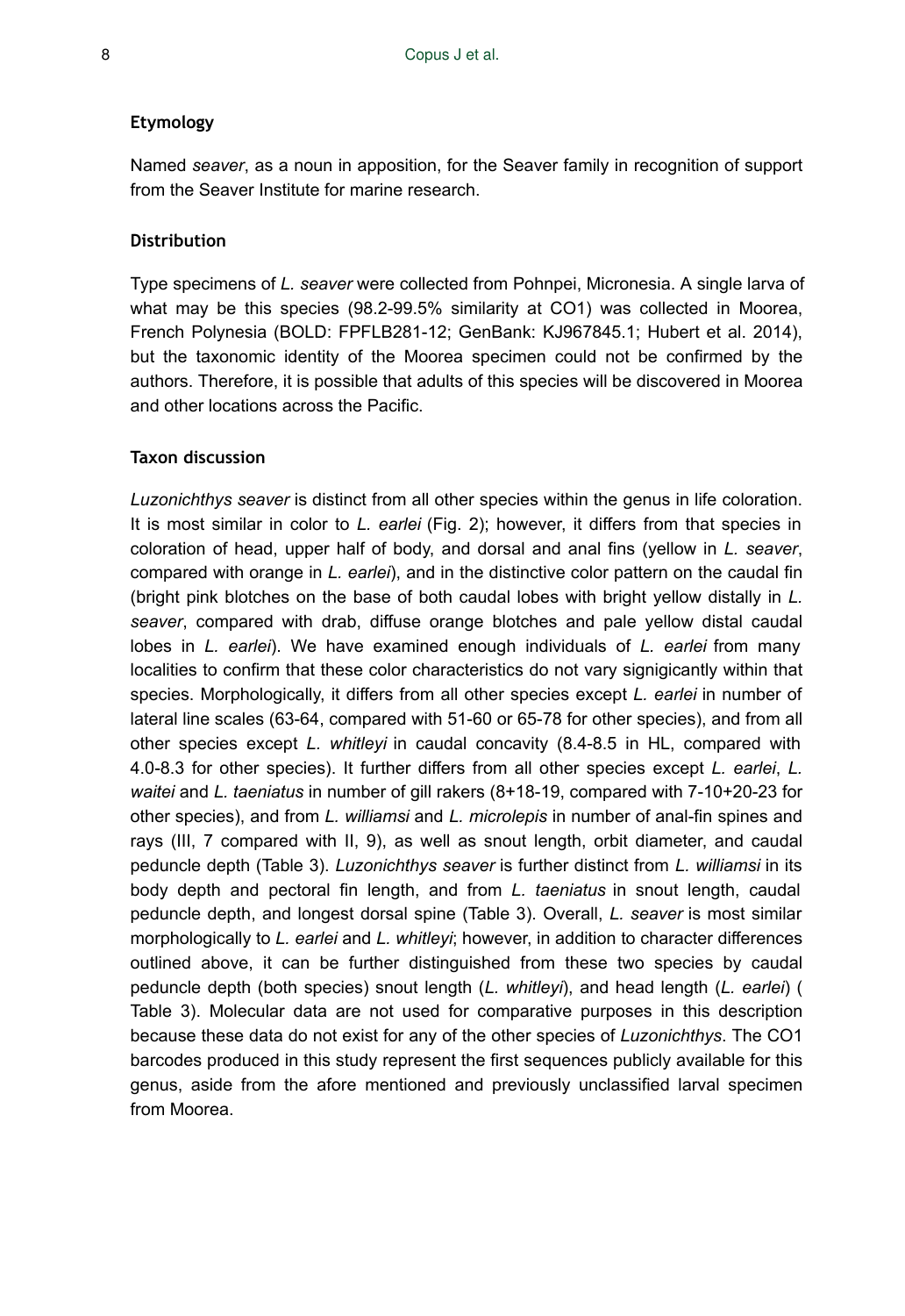#### **Etymology**

Named *seaver*, as a noun in apposition, for the Seaver family in recognition of support from the Seaver Institute for marine research.

### **Distribution**

Type specimens of *L. seaver* were collected from Pohnpei, Micronesia. A single larva of what may be this species (98.2-99.5% similarity at CO1) was collected in Moorea, French Polynesia (BOLD: FPFLB281-12; GenBank: KJ967845.1; Hubert et al. 2014), but the taxonomic identity of the Moorea specimen could not be confirmed by the authors. Therefore, it is possible that adults of this species will be discovered in Moorea and other locations across the Pacific.

### **Taxon discussion**

*Luzonichthys seaver* is distinct from all other species within the genus in life coloration. It is most similar in color to *L. earlei* (Fig. 2); however, it differs from that species in coloration of head, upper half of body, and dorsal and anal fins (yellow in *L. seaver*, compared with orange in *L. earlei*), and in the distinctive color pattern on the caudal fin (bright pink blotches on the base of both caudal lobes with bright yellow distally in *L. seaver*, compared with drab, diffuse orange blotches and pale yellow distal caudal lobes in *L. earlei*). We have examined enough individuals of *L. earlei* from many localities to confirm that these color characteristics do not vary signigicantly within that species. Morphologically, it differs from all other species except *L. earlei* in number of lateral line scales (63-64, compared with 51-60 or 65-78 for other species), and from all other species except *L. whitleyi* in caudal concavity (8.4-8.5 in HL, compared with 4.0-8.3 for other species). It further differs from all other species except *L. earlei*, *L. waitei* and *L. taeniatus* in number of gill rakers (8+18-19, compared with 7-10+20-23 for other species), and from *L. williamsi* and *L. microlepis* in number of anal-fin spines and rays (III, 7 compared with II, 9), as well as snout length, orbit diameter, and caudal peduncle depth (Table 3). *Luzonichthys seaver* is further distinct from *L. williamsi* in its body depth and pectoral fin length, and from *L. taeniatus* in snout length, caudal peduncle depth, and longest dorsal spine (Table 3). Overall, *L. seaver* is most similar morphologically to *L. earlei* and *L. whitleyi*; however, in addition to character differences outlined above, it can be further distinguished from these two species by caudal peduncle depth (both species) snout length (*L. whitleyi*), and head length (*L. earlei*) ( Table 3). Molecular data are not used for comparative purposes in this description because these data do not exist for any of the other species of *Luzonichthys*. The CO1 barcodes produced in this study represent the first sequences publicly available for this genus, aside from the afore mentioned and previously unclassified larval specimen from Moorea.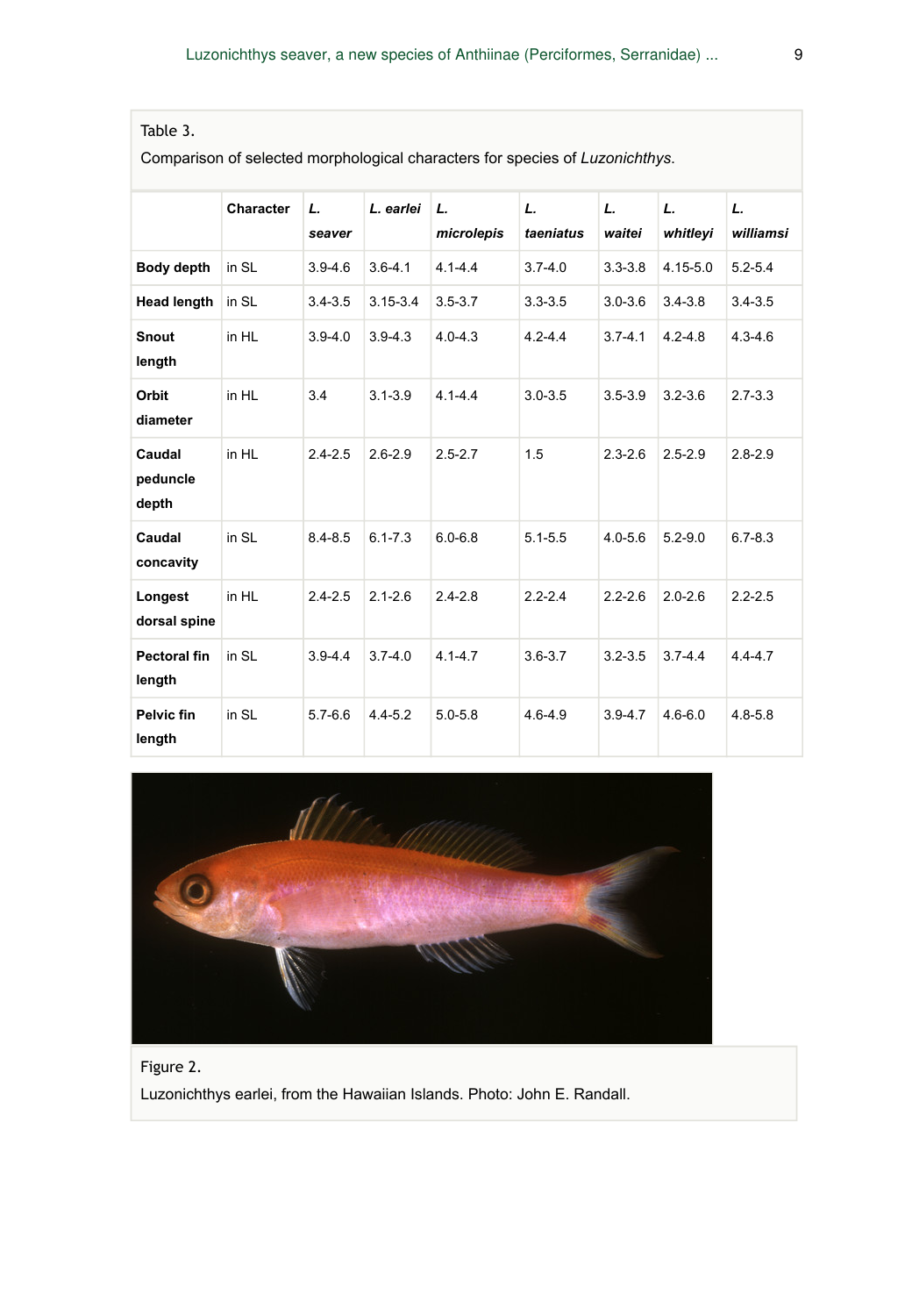| Table 3. |  |
|----------|--|
|          |  |

Comparison of selected morphological characters for species of *Luzonichthys*.

|                             | Character | L.<br>seaver | L. earlei    | L.<br>microlepis | L.<br>taeniatus | L.<br>waitei | L.<br>whitleyi | L.<br>williamsi |
|-----------------------------|-----------|--------------|--------------|------------------|-----------------|--------------|----------------|-----------------|
| Body depth                  | in SL     | $3.9 - 4.6$  | $3.6 - 4.1$  | $4.1 - 4.4$      | $3.7 - 4.0$     | $3.3 - 3.8$  | $4.15 - 5.0$   | $5.2 - 5.4$     |
| <b>Head length</b>          | in SL     | $3.4 - 3.5$  | $3.15 - 3.4$ | $3.5 - 3.7$      | $3.3 - 3.5$     | $3.0 - 3.6$  | $3.4 - 3.8$    | $3.4 - 3.5$     |
| Snout<br>length             | in HL     | $3.9 - 4.0$  | $3.9 - 4.3$  | $4.0 - 4.3$      | $4.2 - 4.4$     | $3.7 - 4.1$  | $4.2 - 4.8$    | $4.3 - 4.6$     |
| Orbit<br>diameter           | in HL     | 3.4          | $3.1 - 3.9$  | $4.1 - 4.4$      | $3.0 - 3.5$     | $3.5 - 3.9$  | $3.2 - 3.6$    | $2.7 - 3.3$     |
| Caudal<br>peduncle<br>depth | in HL     | $2.4 - 2.5$  | $2.6 - 2.9$  | $2.5 - 2.7$      | 1.5             | $2.3 - 2.6$  | $2.5 - 2.9$    | $2.8 - 2.9$     |
| Caudal<br>concavity         | in SL     | $8.4 - 8.5$  | $6.1 - 7.3$  | $6.0 - 6.8$      | $5.1 - 5.5$     | $4.0 - 5.6$  | $5.2 - 9.0$    | $6.7 - 8.3$     |
| Longest<br>dorsal spine     | in HL     | $2.4 - 2.5$  | $2.1 - 2.6$  | $2.4 - 2.8$      | $2.2 - 2.4$     | $2.2 - 2.6$  | $2.0 - 2.6$    | $2.2 - 2.5$     |
| Pectoral fin<br>length      | in SL     | $3.9 - 4.4$  | $3.7 - 4.0$  | $4.1 - 4.7$      | $3.6 - 3.7$     | $3.2 - 3.5$  | $3.7 - 4.4$    | $4.4 - 4.7$     |
| Pelvic fin<br>length        | in SL     | $5.7 - 6.6$  | $4.4 - 5.2$  | $5.0 - 5.8$      | $4.6 - 4.9$     | $3.9 - 4.7$  | $4.6 - 6.0$    | $4.8 - 5.8$     |



Figure 2. Luzonichthys earlei, from the Hawaiian Islands. Photo: John E. Randall.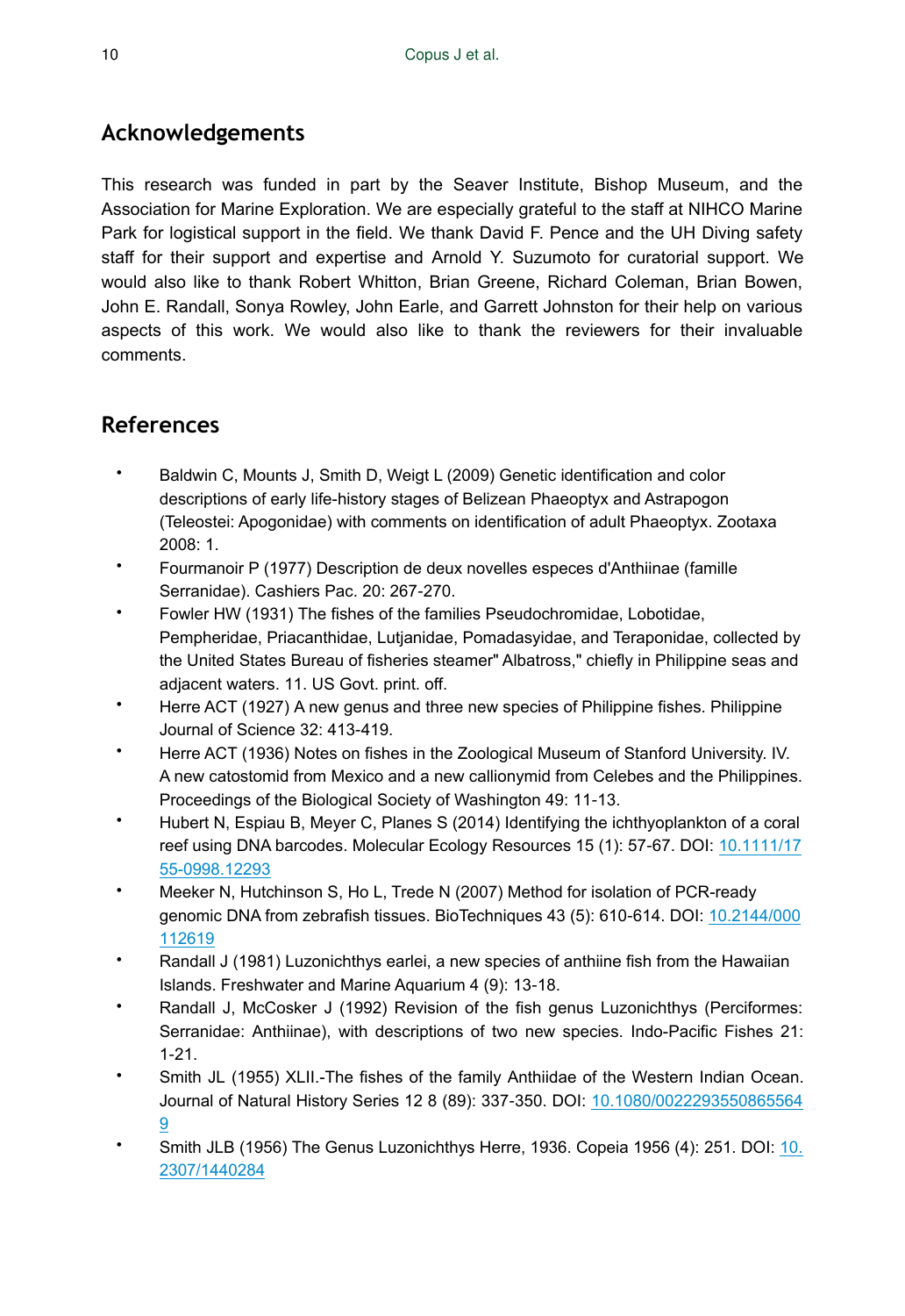# **Acknowledgements**

This research was funded in part by the Seaver Institute, Bishop Museum, and the Association for Marine Exploration. We are especially grateful to the staff at NIHCO Marine Park for logistical support in the field. We thank David F. Pence and the UH Diving safety staff for their support and expertise and Arnold Y. Suzumoto for curatorial support. We would also like to thank Robert Whitton, Brian Greene, Richard Coleman, Brian Bowen, John E. Randall, Sonya Rowley, John Earle, and Garrett Johnston for their help on various aspects of this work. We would also like to thank the reviewers for their invaluable comments.

# **References**

- Baldwin C, Mounts J, Smith D, Weigt L (2009) Genetic identification and color descriptions of early life-history stages of Belizean Phaeoptyx and Astrapogon (Teleostei: Apogonidae) with comments on identification of adult Phaeoptyx. Zootaxa 2008: 1.
- Fourmanoir P (1977) Description de deux novelles especes d'Anthiinae (famille Serranidae). Cashiers Pac. 20: 267‑270.
- Fowler HW (1931) The fishes of the families Pseudochromidae, Lobotidae, Pempheridae, Priacanthidae, Lutjanidae, Pomadasyidae, and Teraponidae, collected by the United States Bureau of fisheries steamer" Albatross," chiefly in Philippine seas and adjacent waters. 11. US Govt. print. off.
- Herre ACT (1927) A new genus and three new species of Philippine fishes. Philippine Journal of Science 32: 413‑419.
- Herre ACT (1936) Notes on fishes in the Zoological Museum of Stanford University. IV. A new catostomid from Mexico and a new callionymid from Celebes and the Philippines. Proceedings of the Biological Society of Washington 49: 11‑13.
- Hubert N, Espiau B, Meyer C, Planes S (2014) Identifying the ichthyoplankton of a coral reef using DNA barcodes. Molecular Ecology Resources 15 (1): 57-67. DOI: [10.1111/17](http://dx.doi.org/10.1111/1755-0998.12293) [55-0998.12293](http://dx.doi.org/10.1111/1755-0998.12293)
- Meeker N, Hutchinson S, Ho L, Trede N (2007) Method for isolation of PCR-ready genomic DNA from zebrafish tissues. BioTechniques 43 (5): 610‑614. DOI: [10.2144/000](http://dx.doi.org/10.2144/000112619) [112619](http://dx.doi.org/10.2144/000112619)
- Randall J (1981) Luzonichthys earlei, a new species of anthiine fish from the Hawaiian Islands. Freshwater and Marine Aquarium 4 (9): 13‑18.
- Randall J, McCosker J (1992) Revision of the fish genus Luzonichthys (Perciformes: Serranidae: Anthiinae), with descriptions of two new species. Indo-Pacific Fishes 21:  $1 - 21$ .
- Smith JL (1955) XLII.-The fishes of the family Anthiidae of the Western Indian Ocean. Journal of Natural History Series 12 8 (89): 337‑350. DOI: [10.1080/0022293550865564](http://dx.doi.org/10.1080/00222935508655649) [9](http://dx.doi.org/10.1080/00222935508655649)
- Smith JLB (1956) The Genus Luzonichthys Herre, 1936. Copeia 1956 (4): 251. DOI: [10.](http://dx.doi.org/10.2307/1440284) [2307/1440284](http://dx.doi.org/10.2307/1440284)